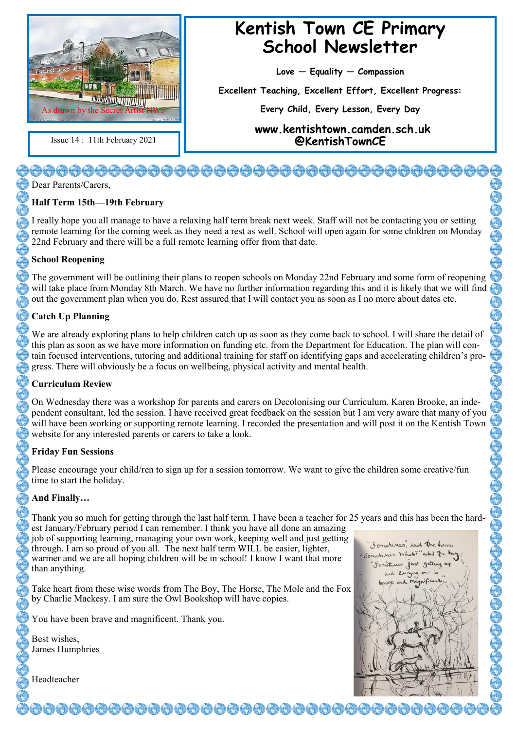

## **Kentish Town CE Primary School Newsletter**

**Love — Equality — Compassion**

**Excellent Teaching, Excellent Effort, Excellent Progress:** 

**Every Child, Every Lesson, Every Day**

**www.kentishtown.camden.sch.uk**  Issue 14 : 11th February 2021 **@KentishTownCE**

# 

Dear Parents/Carers,

### **Half Term 15th—19th February**

I really hope you all manage to have a relaxing half term break next week. Staff will not be contacting you or setting remote learning for the coming week as they need a rest as well. School will open again for some children on Monday 22nd February and there will be a full remote learning offer from that date.

#### **School Reopening**

The government will be outlining their plans to reopen schools on Monday 22nd February and some form of reopening will take place from Monday 8th March. We have no further information regarding this and it is likely that we will find out the government plan when you do. Rest assured that I will contact you as soon as I no more about dates etc.

#### **Catch Up Planning**

We are already exploring plans to help children catch up as soon as they come back to school. I will share the detail of this plan as soon as we have more information on funding etc. from the Department for Education. The plan will contain focused interventions, tutoring and additional training for staff on identifying gaps and accelerating children's progress. There will obviously be a focus on wellbeing, physical activity and mental health.

#### **Curriculum Review**

On Wednesday there was a workshop for parents and carers on Decolonising our Curriculum. Karen Brooke, an independent consultant, led the session. I have received great feedback on the session but I am very aware that many of you will have been working or supporting remote learning. I recorded the presentation and will post it on the Kentish Town website for any interested parents or carers to take a look.

#### **Friday Fun Sessions**

Please encourage your child/ren to sign up for a session tomorrow. We want to give the children some creative/fun time to start the holiday.

#### **And Finally…**

Thank you so much for getting through the last half term. I have been a teacher for 25 years and this has been the hardest January/February period I can remember. I think you have all done an amazing

job of supporting learning, managing your own work, keeping well and just getting through. I am so proud of you all. The next half term WILL be easier, lighter, warmer and we are all hoping children will be in school! I know I want that more than anything.

Take heart from these wise words from The Boy, The Horse, The Mole and the Fox by Charlie Mackesy. I am sure the Owl Bookshop will have copies.

You have been brave and magnificent. Thank you.

Best wishes, James Humphries



Headteacher